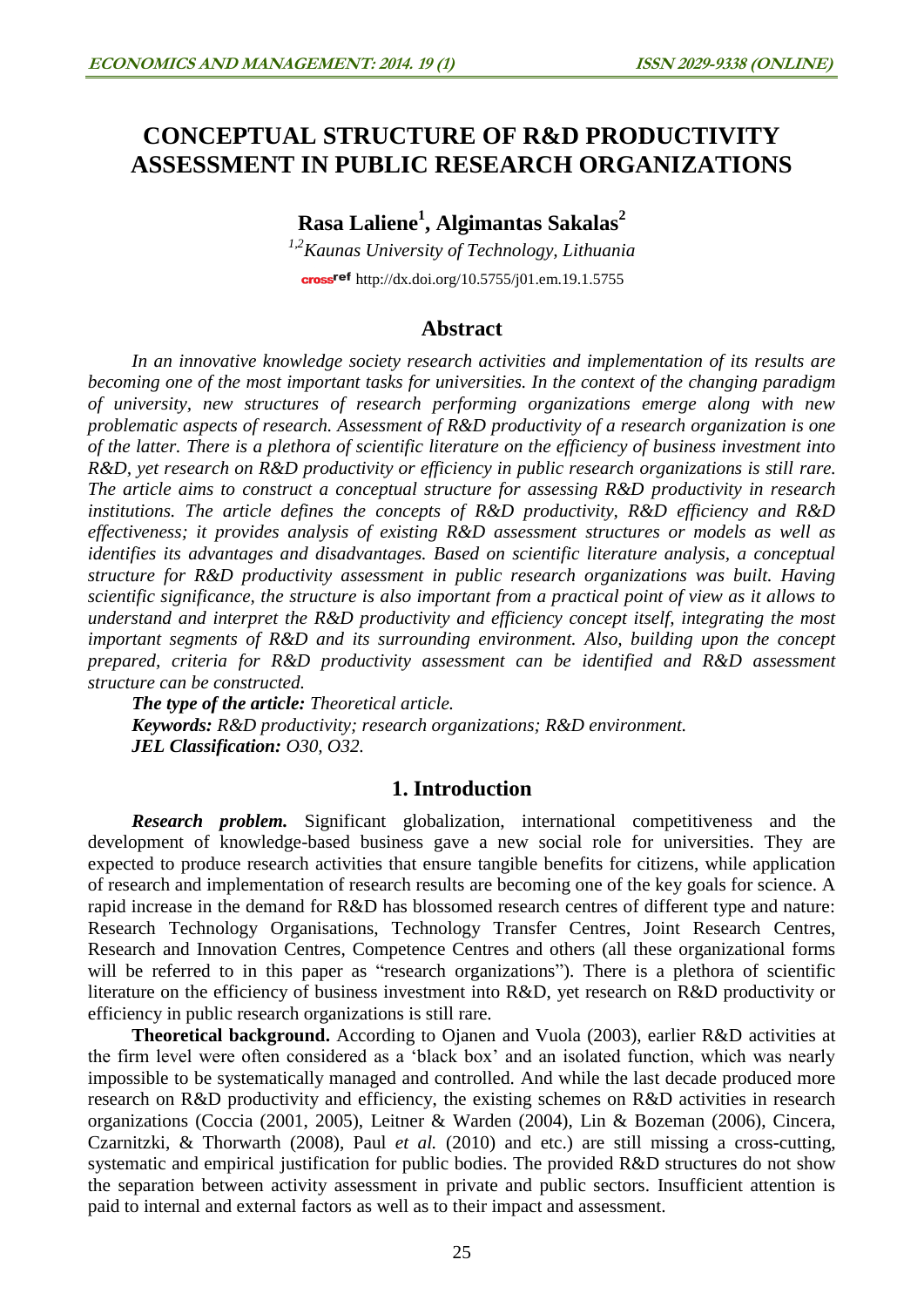# **CONCEPTUAL STRUCTURE OF R&D PRODUCTIVITY ASSESSMENT IN PUBLIC RESEARCH ORGANIZATIONS**

**Rasa Laliene<sup>1</sup> , Algimantas Sakalas<sup>2</sup>**

*1,2Kaunas University of Technology, Lithuania* cross<sup>ref</sup> <http://dx.doi.org/10.5755/j01.em.19.1.5755>

# **Abstract**

*In an innovative knowledge society research activities and implementation of its results are becoming one of the most important tasks for universities. In the context of the changing paradigm of university, new structures of research performing organizations emerge along with new problematic aspects of research. Assessment of R&D productivity of a research organization is one of the latter. There is a plethora of scientific literature on the efficiency of business investment into R&D, yet research on R&D productivity or efficiency in public research organizations is still rare. The article aims to construct a conceptual structure for assessing R&D productivity in research institutions. The article defines the concepts of R&D productivity, R&D efficiency and R&D effectiveness; it provides analysis of existing R&D assessment structures or models as well as identifies its advantages and disadvantages. Based on scientific literature analysis, a conceptual structure for R&D productivity assessment in public research organizations was built. Having scientific significance, the structure is also important from a practical point of view as it allows to understand and interpret the R&D productivity and efficiency concept itself, integrating the most important segments of R&D and its surrounding environment. Also, building upon the concept prepared, criteria for R&D productivity assessment can be identified and R&D assessment structure can be constructed.*

*The type of the article: Theoretical article. Keywords: R&D productivity; research organizations; R&D environment. JEL Classification: O30, O32.*

# **1. Introduction**

*Research problem.* Significant globalization, international competitiveness and the development of knowledge-based business gave a new social role for universities. They are expected to produce research activities that ensure tangible benefits for citizens, while application of research and implementation of research results are becoming one of the key goals for science. A rapid increase in the demand for R&D has blossomed research centres of different type and nature: Research Technology Organisations, Technology Transfer Centres, Joint Research Centres, Research and Innovation Centres, Competence Centres and others (all these organizational forms will be referred to in this paper as "research organizations"). There is a plethora of scientific literature on the efficiency of business investment into R&D, yet research on R&D productivity or efficiency in public research organizations is still rare.

**Theoretical background.** According to Ojanen and Vuola (2003), earlier R&D activities at the firm level were often considered as a 'black box' and an isolated function, which was nearly impossible to be systematically managed and controlled. And while the last decade produced more research on R&D productivity and efficiency, the existing schemes on R&D activities in research organizations (Coccia (2001, 2005), Leitner & Warden (2004), Lin & Bozeman (2006), Cincera, Czarnitzki, & Thorwarth (2008), Paul *et al.* (2010) and etc.) are still missing a cross-cutting, systematic and empirical justification for public bodies. The provided R&D structures do not show the separation between activity assessment in private and public sectors. Insufficient attention is paid to internal and external factors as well as to their impact and assessment.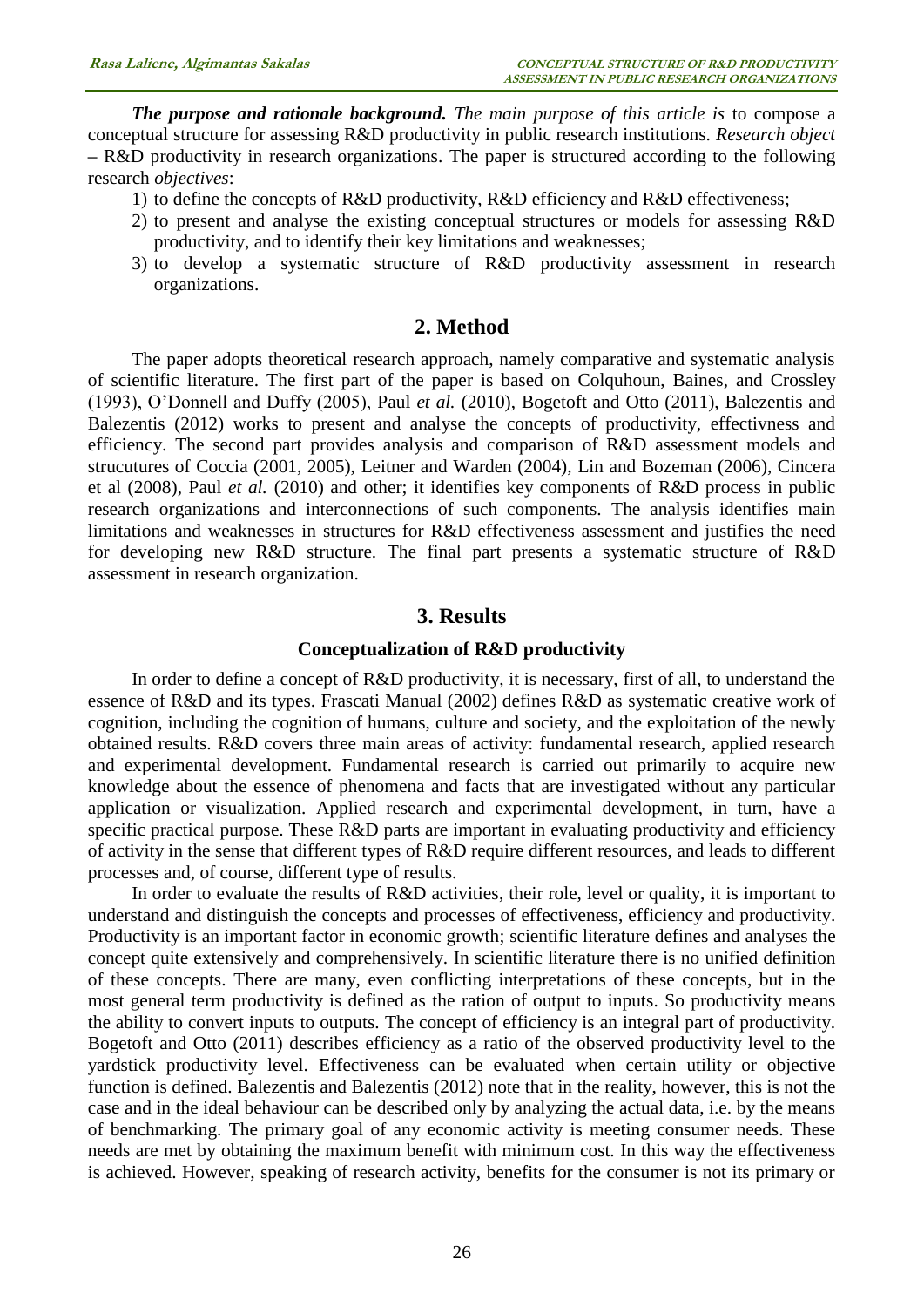*The purpose and rationale background. The main purpose of this article is* to compose a conceptual structure for assessing R&D productivity in public research institutions. *Research object*  **–** R&D productivity in research organizations. The paper is structured according to the following research *objectives*:

- 1) to define the concepts of R&D productivity, R&D efficiency and R&D effectiveness;
- 2) to present and analyse the existing conceptual structures or models for assessing R&D productivity, and to identify their key limitations and weaknesses;
- 3) to develop a systematic structure of R&D productivity assessment in research organizations.

### **2. Method**

The paper adopts theoretical research approach, namely comparative and systematic analysis of scientific literature. The first part of the paper is based on Colquhoun, Baines, and Crossley (1993), O'Donnell and Duffy (2005), Paul *et al.* (2010), Bogetoft and Otto (2011), Balezentis and Balezentis (2012) works to present and analyse the concepts of productivity, effectivness and efficiency. The second part provides analysis and comparison of R&D assessment models and strucutures of Coccia (2001, 2005), Leitner and Warden (2004), Lin and Bozeman (2006), Cincera et al (2008), Paul *et al.* (2010) and other; it identifies key components of R&D process in public research organizations and interconnections of such components. The analysis identifies main limitations and weaknesses in structures for R&D effectiveness assessment and justifies the need for developing new R&D structure. The final part presents a systematic structure of R&D assessment in research organization.

### **3. Results**

#### **Conceptualization of R&D productivity**

In order to define a concept of R&D productivity, it is necessary, first of all, to understand the essence of R&D and its types. Frascati Manual (2002) defines R&D as systematic creative work of cognition, including the cognition of humans, culture and society, and the exploitation of the newly obtained results. R&D covers three main areas of activity: fundamental research, applied research and experimental development. Fundamental research is carried out primarily to acquire new knowledge about the essence of phenomena and facts that are investigated without any particular application or visualization. Applied research and experimental development, in turn, have a specific practical purpose. These R&D parts are important in evaluating productivity and efficiency of activity in the sense that different types of R&D require different resources, and leads to different processes and, of course, different type of results.

In order to evaluate the results of R&D activities, their role, level or quality, it is important to understand and distinguish the concepts and processes of effectiveness, efficiency and productivity. Productivity is an important factor in economic growth; scientific literature defines and analyses the concept quite extensively and comprehensively. In scientific literature there is no unified definition of these concepts. There are many, even conflicting interpretations of these concepts, but in the most general term productivity is defined as the ration of output to inputs. So productivity means the ability to convert inputs to outputs. The concept of efficiency is an integral part of productivity. Bogetoft and Otto (2011) describes efficiency as a ratio of the observed productivity level to the yardstick productivity level. Effectiveness can be evaluated when certain utility or objective function is defined. Balezentis and Balezentis (2012) note that in the reality, however, this is not the case and in the ideal behaviour can be described only by analyzing the actual data, i.e. by the means of benchmarking. The primary goal of any economic activity is meeting consumer needs. These needs are met by obtaining the maximum benefit with minimum cost. In this way the effectiveness is achieved. However, speaking of research activity, benefits for the consumer is not its primary or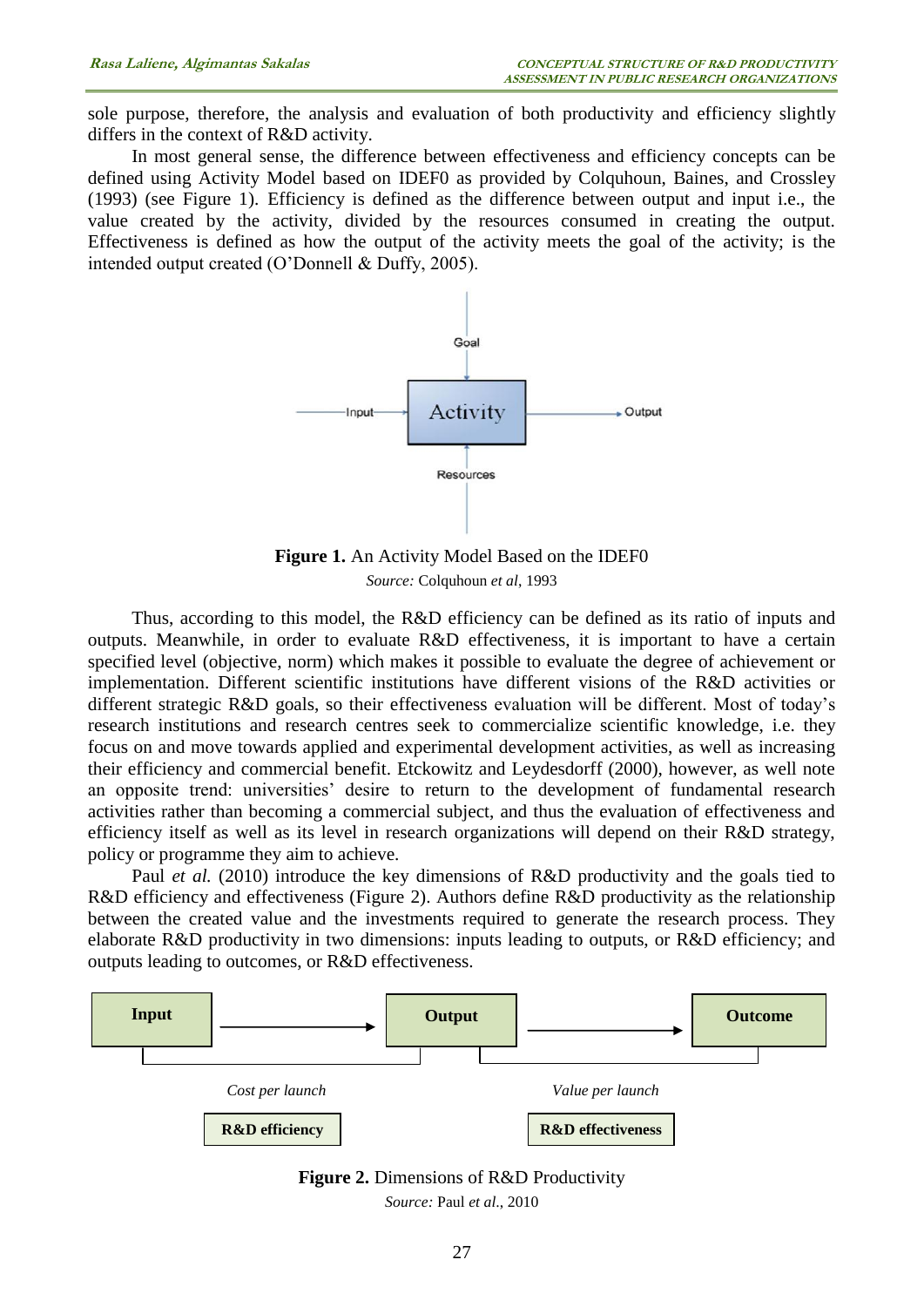sole purpose, therefore, the analysis and evaluation of both productivity and efficiency slightly differs in the context of R&D activity.

In most general sense, the difference between effectiveness and efficiency concepts can be defined using Activity Model based on IDEF0 as provided by Colquhoun, Baines, and Crossley (1993) (see Figure 1). Efficiency is defined as the difference between output and input i.e., the value created by the activity, divided by the resources consumed in creating the output. Effectiveness is defined as how the output of the activity meets the goal of the activity; is the intended output created (O'Donnell & Duffy, 2005).



**Figure 1.** An Activity Model Based on the IDEF0 *Source:* Colquhoun *et al*, 1993

Thus, according to this model, the R&D efficiency can be defined as its ratio of inputs and outputs. Meanwhile, in order to evaluate R&D effectiveness, it is important to have a certain specified level (objective, norm) which makes it possible to evaluate the degree of achievement or implementation. Different scientific institutions have different visions of the R&D activities or different strategic R&D goals, so their effectiveness evaluation will be different. Most of today's research institutions and research centres seek to commercialize scientific knowledge, i.e. they focus on and move towards applied and experimental development activities, as well as increasing their efficiency and commercial benefit. Etckowitz and Leydesdorff (2000), however, as well note an opposite trend: universities' desire to return to the development of fundamental research activities rather than becoming a commercial subject, and thus the evaluation of effectiveness and efficiency itself as well as its level in research organizations will depend on their R&D strategy, policy or programme they aim to achieve.

Paul *et al.* (2010) introduce the key dimensions of R&D productivity and the goals tied to R&D efficiency and effectiveness (Figure 2). Authors define R&D productivity as the relationship between the created value and the investments required to generate the research process. They elaborate R&D productivity in two dimensions: inputs leading to outputs, or R&D efficiency; and outputs leading to outcomes, or R&D effectiveness.



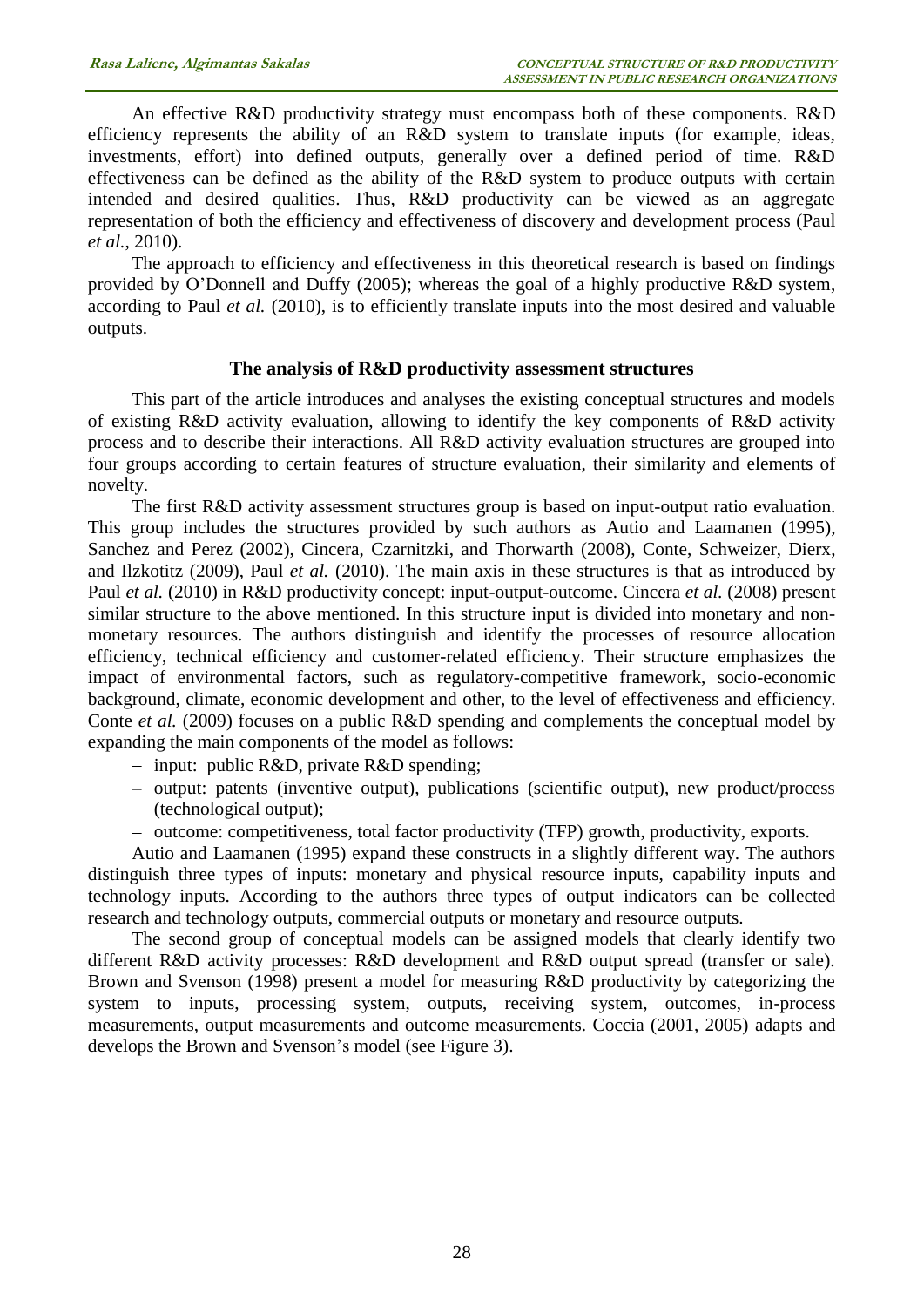An effective R&D productivity strategy must encompass both of these components. R&D efficiency represents the ability of an R&D system to translate inputs (for example, ideas, investments, effort) into defined outputs, generally over a defined period of time. R&D effectiveness can be defined as the ability of the R&D system to produce outputs with certain intended and desired qualities. Thus, R&D productivity can be viewed as an aggregate representation of both the efficiency and effectiveness of discovery and development process (Paul *et al.*, 2010).

The approach to efficiency and effectiveness in this theoretical research is based on findings provided by O'Donnell and Duffy (2005); whereas the goal of a highly productive R&D system, according to Paul *et al.* (2010), is to efficiently translate inputs into the most desired and valuable outputs.

## **The analysis of R&D productivity assessment structures**

This part of the article introduces and analyses the existing conceptual structures and models of existing R&D activity evaluation, allowing to identify the key components of R&D activity process and to describe their interactions. All R&D activity evaluation structures are grouped into four groups according to certain features of structure evaluation, their similarity and elements of novelty.

The first R&D activity assessment structures group is based on input-output ratio evaluation. This group includes the structures provided by such authors as Autio and Laamanen (1995), Sanchez and Perez (2002), Cincera, Czarnitzki, and Thorwarth (2008), Conte, Schweizer, Dierx, and Ilzkotitz (2009), Paul *et al.* (2010). The main axis in these structures is that as introduced by Paul *et al.* (2010) in R&D productivity concept: input-output-outcome. Cincera *et al.* (2008) present similar structure to the above mentioned. In this structure input is divided into monetary and nonmonetary resources. The authors distinguish and identify the processes of resource allocation efficiency, technical efficiency and customer-related efficiency. Their structure emphasizes the impact of environmental factors, such as regulatory-competitive framework, socio-economic background, climate, economic development and other, to the level of effectiveness and efficiency. Conte *et al.* (2009) focuses on a public R&D spending and complements the conceptual model by expanding the main components of the model as follows:

- input: public R&D, private R&D spending;
- output: patents (inventive output), publications (scientific output), new product/process (technological output);
- outcome: competitiveness, total factor productivity (TFP) growth, productivity, exports.

Autio and Laamanen (1995) expand these constructs in a slightly different way. The authors distinguish three types of inputs: monetary and physical resource inputs, capability inputs and technology inputs. According to the authors three types of output indicators can be collected research and technology outputs, commercial outputs or monetary and resource outputs.

The second group of conceptual models can be assigned models that clearly identify two different R&D activity processes: R&D development and R&D output spread (transfer or sale). Brown and Svenson (1998) present a model for measuring R&D productivity by categorizing the system to inputs, processing system, outputs, receiving system, outcomes, in-process measurements, output measurements and outcome measurements. Coccia (2001, 2005) adapts and develops the Brown and Svenson's model (see Figure 3).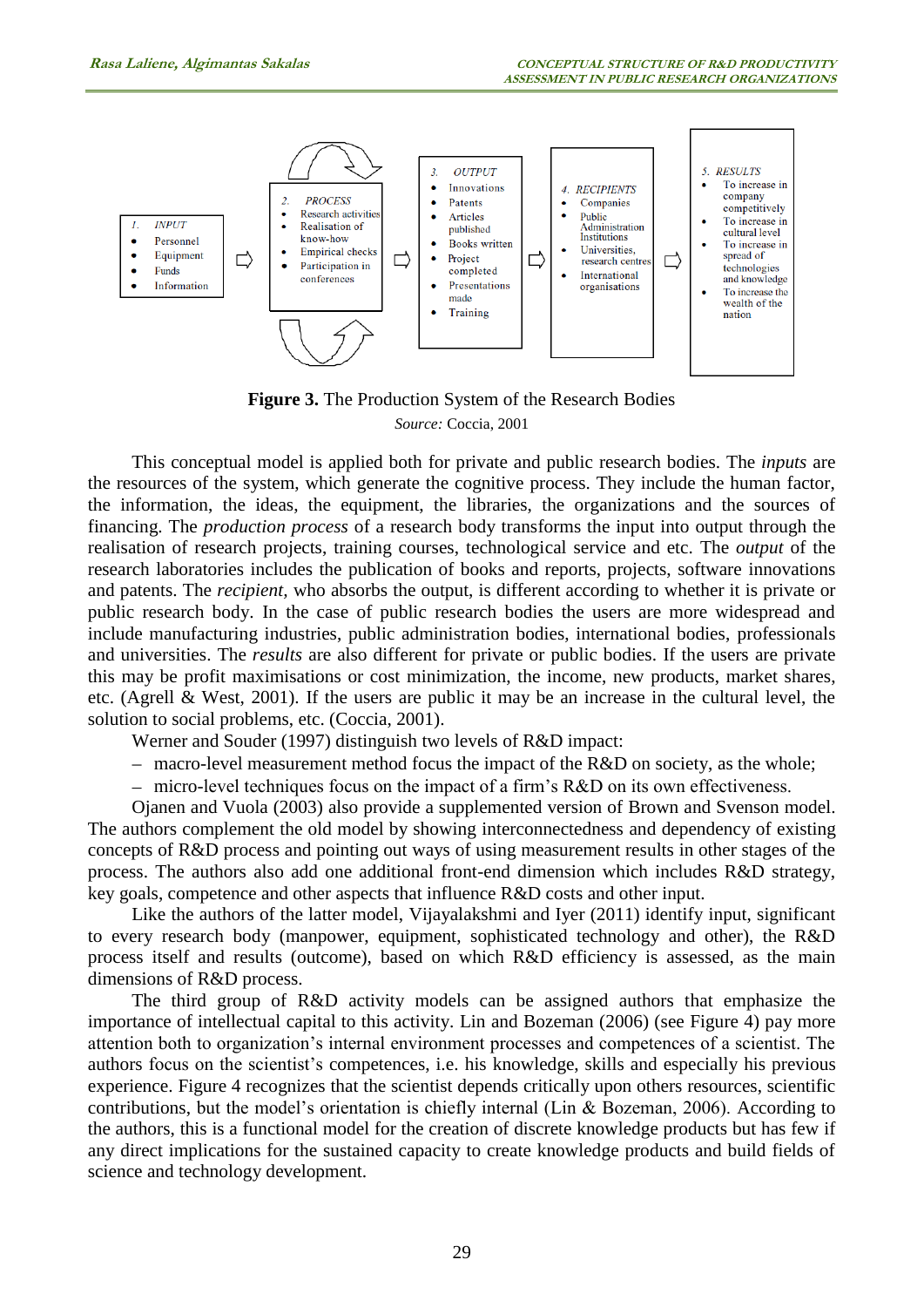

**Figure 3.** The Production System of the Research Bodies *Source:* Coccia, 2001

This conceptual model is applied both for private and public research bodies. The *inputs* are the resources of the system, which generate the cognitive process. They include the human factor, the information, the ideas, the equipment, the libraries, the organizations and the sources of financing. The *production process* of a research body transforms the input into output through the realisation of research projects, training courses, technological service and etc. The *output* of the research laboratories includes the publication of books and reports, projects, software innovations and patents. The *recipient,* who absorbs the output, is different according to whether it is private or public research body. In the case of public research bodies the users are more widespread and include manufacturing industries, public administration bodies, international bodies, professionals and universities. The *results* are also different for private or public bodies. If the users are private this may be profit maximisations or cost minimization, the income, new products, market shares, etc. (Agrell & West, 2001). If the users are public it may be an increase in the cultural level, the solution to social problems, etc. (Coccia, 2001).

Werner and Souder (1997) distinguish two levels of R&D impact:

- macro-level measurement method focus the impact of the R&D on society, as the whole;

micro-level techniques focus on the impact of a firm's R&D on its own effectiveness.

Ojanen and Vuola (2003) also provide a supplemented version of Brown and Svenson model. The authors complement the old model by showing interconnectedness and dependency of existing concepts of R&D process and pointing out ways of using measurement results in other stages of the process. The authors also add one additional front-end dimension which includes R&D strategy, key goals, competence and other aspects that influence R&D costs and other input.

Like the authors of the latter model, Vijayalakshmi and Iyer (2011) identify input, significant to every research body (manpower, equipment, sophisticated technology and other), the R&D process itself and results (outcome), based on which R&D efficiency is assessed, as the main dimensions of R&D process.

The third group of R&D activity models can be assigned authors that emphasize the importance of intellectual capital to this activity. Lin and Bozeman (2006) (see Figure 4) pay more attention both to organization's internal environment processes and competences of a scientist. The authors focus on the scientist's competences, i.e. his knowledge, skills and especially his previous experience. Figure 4 recognizes that the scientist depends critically upon others resources, scientific contributions, but the model's orientation is chiefly internal (Lin & Bozeman, 2006). According to the authors, this is a functional model for the creation of discrete knowledge products but has few if any direct implications for the sustained capacity to create knowledge products and build fields of science and technology development.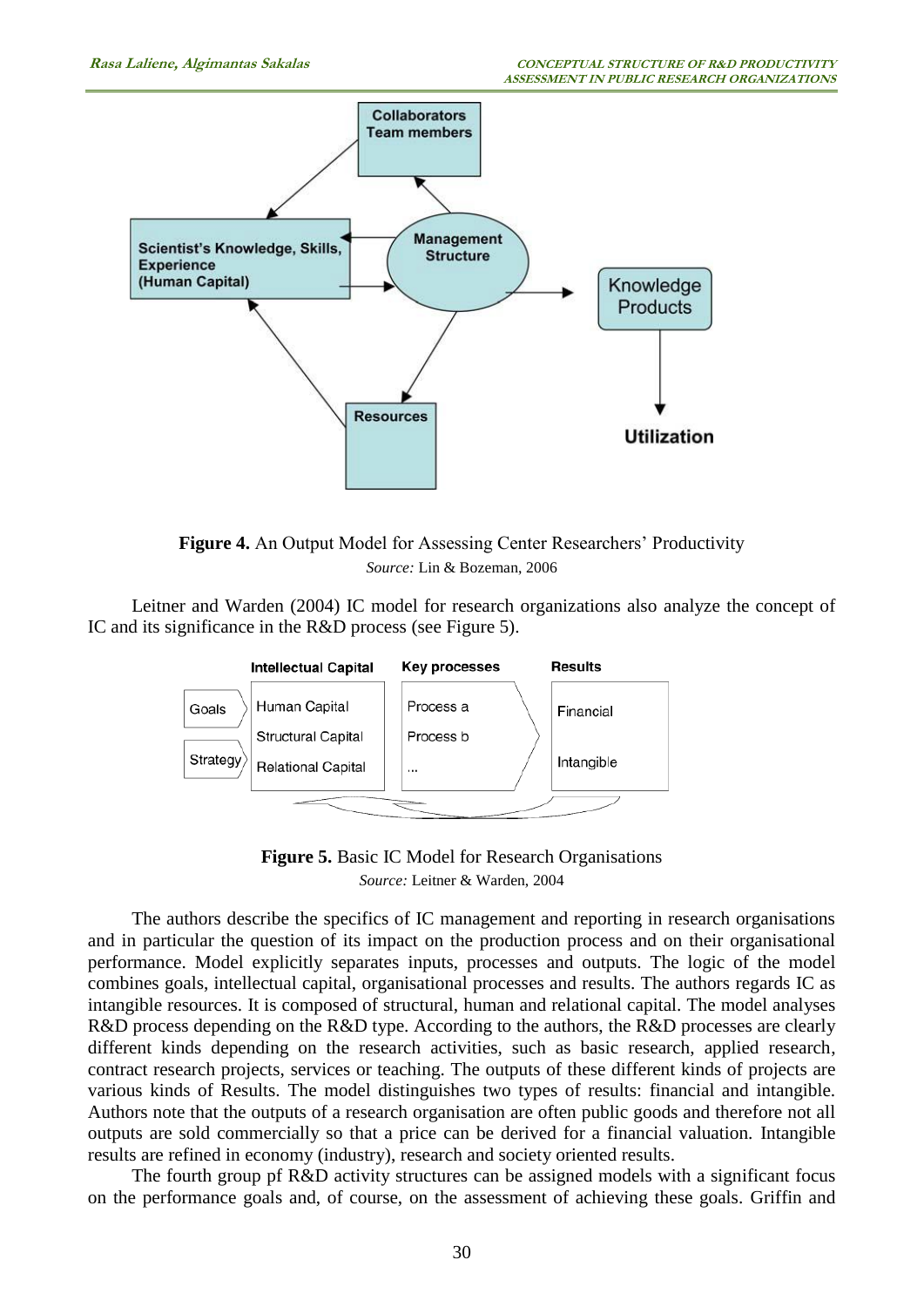

**Figure 4.** An Output Model for Assessing Center Researchers' Productivity *Source:* Lin & Bozeman, 2006

Leitner and Warden (2004) IC model for research organizations also analyze the concept of IC and its significance in the R&D process (see Figure 5).



**Figure 5.** Basic IC Model for Research Organisations *Source:* Leitner & Warden, 2004

The authors describe the specifics of IC management and reporting in research organisations and in particular the question of its impact on the production process and on their organisational performance. Model explicitly separates inputs, processes and outputs. The logic of the model combines goals, intellectual capital, organisational processes and results. The authors regards IC as intangible resources. It is composed of structural, human and relational capital. The model analyses R&D process depending on the R&D type. According to the authors, the R&D processes are clearly different kinds depending on the research activities, such as basic research, applied research, contract research projects, services or teaching. The outputs of these different kinds of projects are various kinds of Results. The model distinguishes two types of results: financial and intangible. Authors note that the outputs of a research organisation are often public goods and therefore not all outputs are sold commercially so that a price can be derived for a financial valuation. Intangible results are refined in economy (industry), research and society oriented results.

The fourth group pf R&D activity structures can be assigned models with a significant focus on the performance goals and, of course, on the assessment of achieving these goals. Griffin and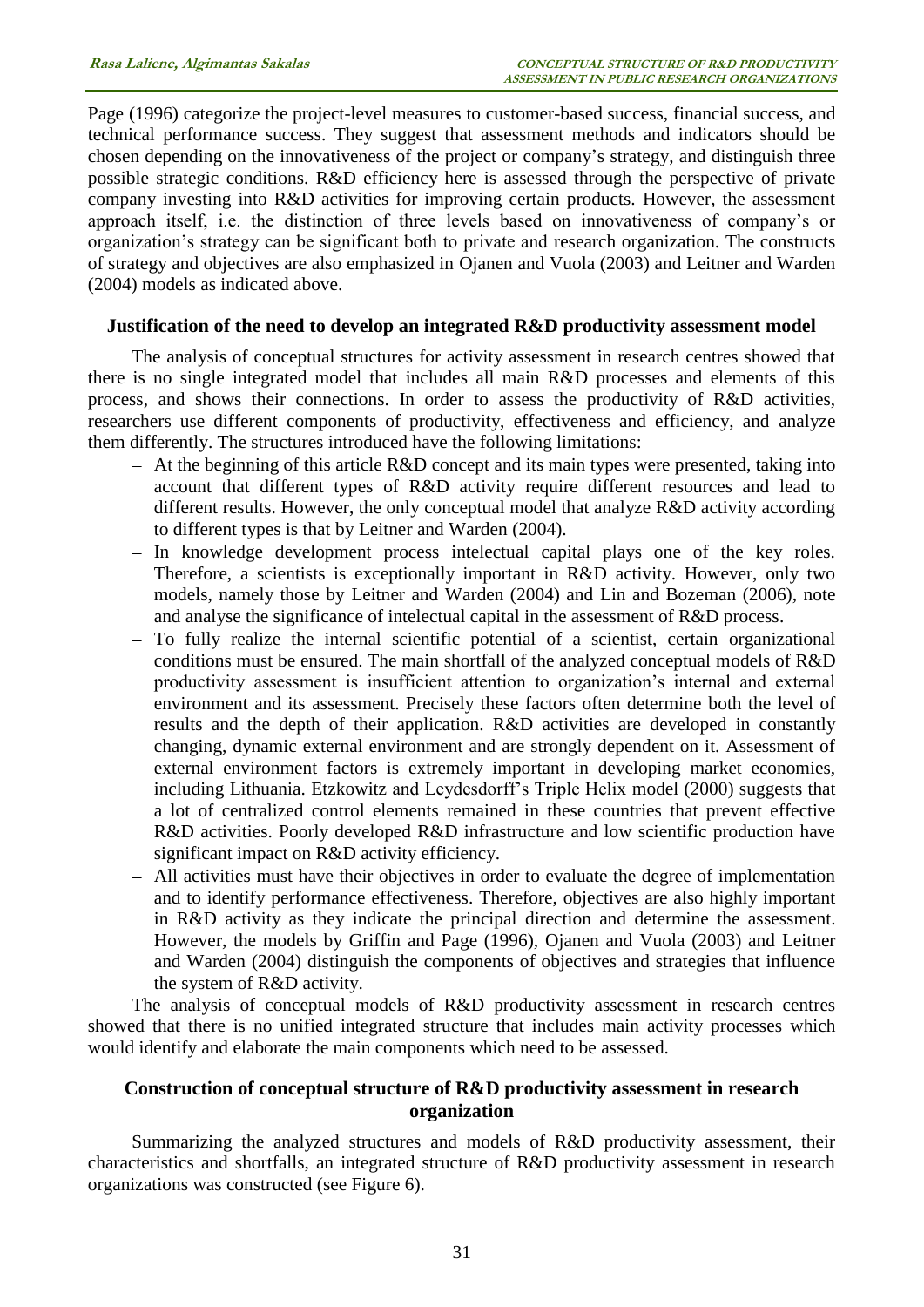Page (1996) categorize the project-level measures to customer-based success, financial success, and technical performance success. They suggest that assessment methods and indicators should be chosen depending on the innovativeness of the project or company's strategy, and distinguish three possible strategic conditions. R&D efficiency here is assessed through the perspective of private company investing into R&D activities for improving certain products. However, the assessment approach itself, i.e. the distinction of three levels based on innovativeness of company's or organization's strategy can be significant both to private and research organization. The constructs of strategy and objectives are also emphasized in Ojanen and Vuola (2003) and Leitner and Warden (2004) models as indicated above.

#### **Justification of the need to develop an integrated R&D productivity assessment model**

The analysis of conceptual structures for activity assessment in research centres showed that there is no single integrated model that includes all main R&D processes and elements of this process, and shows their connections. In order to assess the productivity of R&D activities, researchers use different components of productivity, effectiveness and efficiency, and analyze them differently. The structures introduced have the following limitations:

- At the beginning of this article R&D concept and its main types were presented, taking into account that different types of R&D activity require different resources and lead to different results. However, the only conceptual model that analyze R&D activity according to different types is that by Leitner and Warden (2004).
- In knowledge development process intelectual capital plays one of the key roles. Therefore, a scientists is exceptionally important in R&D activity. However, only two models, namely those by Leitner and Warden (2004) and Lin and Bozeman (2006), note and analyse the significance of intelectual capital in the assessment of R&D process.
- To fully realize the internal scientific potential of a scientist, certain organizational conditions must be ensured. The main shortfall of the analyzed conceptual models of R&D productivity assessment is insufficient attention to organization's internal and external environment and its assessment. Precisely these factors often determine both the level of results and the depth of their application. R&D activities are developed in constantly changing, dynamic external environment and are strongly dependent on it. Assessment of external environment factors is extremely important in developing market economies, including Lithuania. Etzkowitz and Leydesdorff's Triple Helix model (2000) suggests that a lot of centralized control elements remained in these countries that prevent effective R&D activities. Poorly developed R&D infrastructure and low scientific production have significant impact on R&D activity efficiency.
- All activities must have their objectives in order to evaluate the degree of implementation and to identify performance effectiveness. Therefore, objectives are also highly important in R&D activity as they indicate the principal direction and determine the assessment. However, the models by Griffin and Page (1996), Ojanen and Vuola (2003) and Leitner and Warden (2004) distinguish the components of objectives and strategies that influence the system of R&D activity.

The analysis of conceptual models of R&D productivity assessment in research centres showed that there is no unified integrated structure that includes main activity processes which would identify and elaborate the main components which need to be assessed.

## **Construction of conceptual structure of R&D productivity assessment in research organization**

Summarizing the analyzed structures and models of R&D productivity assessment, their characteristics and shortfalls, an integrated structure of R&D productivity assessment in research organizations was constructed (see Figure 6).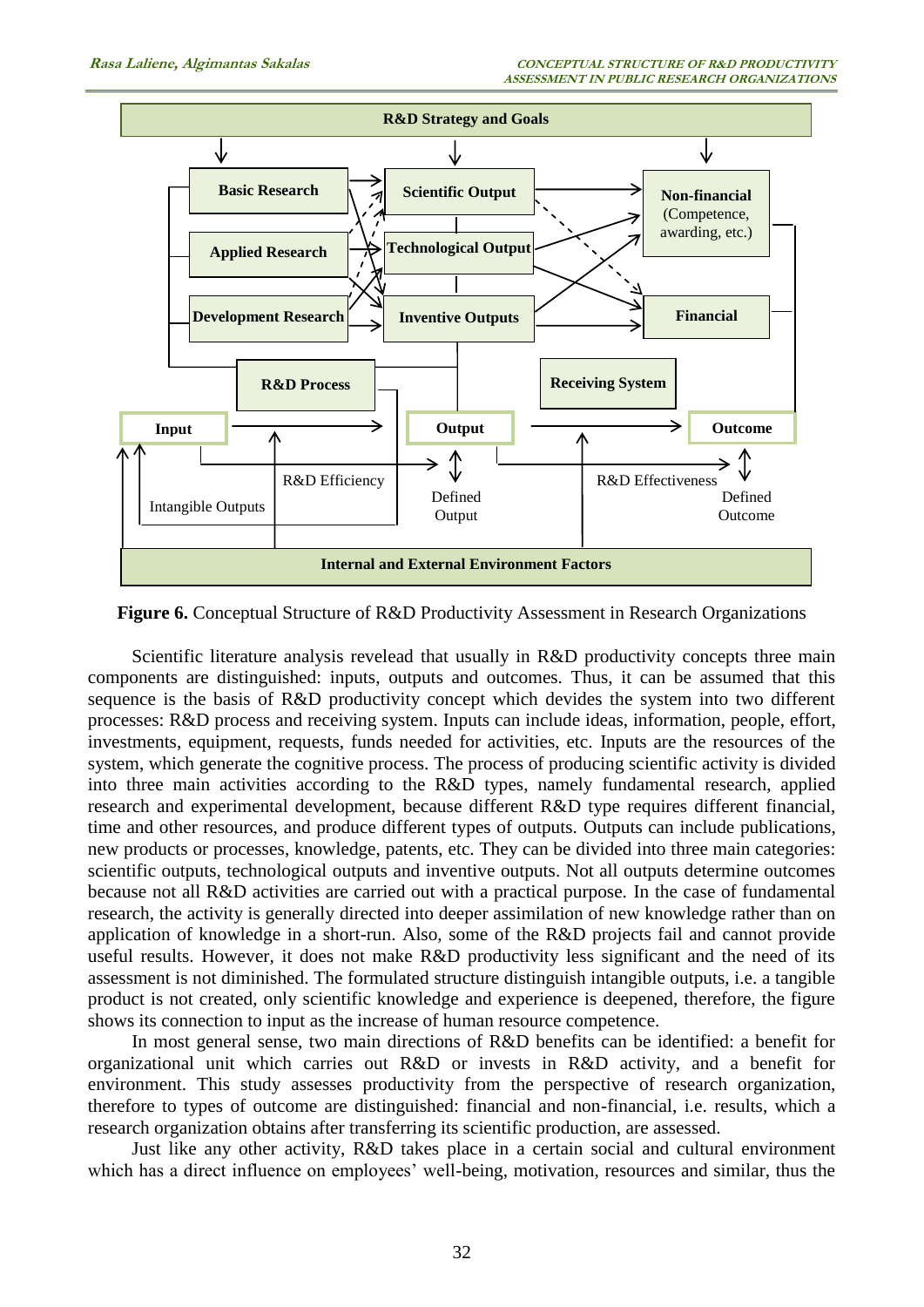

**Figure 6.** Conceptual Structure of R&D Productivity Assessment in Research Organizations

Scientific literature analysis revelead that usually in R&D productivity concepts three main components are distinguished: inputs, outputs and outcomes. Thus, it can be assumed that this sequence is the basis of R&D productivity concept which devides the system into two different processes: R&D process and receiving system. Inputs can include ideas, information, people, effort, investments, equipment, requests, funds needed for activities, etc. Inputs are the resources of the system, which generate the cognitive process. The process of producing scientific activity is divided into three main activities according to the R&D types, namely fundamental research, applied research and experimental development, because different R&D type requires different financial, time and other resources, and produce different types of outputs. Outputs can include publications, new products or processes, knowledge, patents, etc. They can be divided into three main categories: scientific outputs, technological outputs and inventive outputs. Not all outputs determine outcomes because not all R&D activities are carried out with a practical purpose. In the case of fundamental research, the activity is generally directed into deeper assimilation of new knowledge rather than on application of knowledge in a short-run. Also, some of the R&D projects fail and cannot provide useful results. However, it does not make R&D productivity less significant and the need of its assessment is not diminished. The formulated structure distinguish intangible outputs, i.e. a tangible product is not created, only scientific knowledge and experience is deepened, therefore, the figure shows its connection to input as the increase of human resource competence.

In most general sense, two main directions of R&D benefits can be identified: a benefit for organizational unit which carries out R&D or invests in R&D activity, and a benefit for environment. This study assesses productivity from the perspective of research organization, therefore to types of outcome are distinguished: financial and non-financial, i.e. results, which a research organization obtains after transferring its scientific production, are assessed.

Just like any other activity, R&D takes place in a certain social and cultural environment which has a direct influence on employees' well-being, motivation, resources and similar, thus the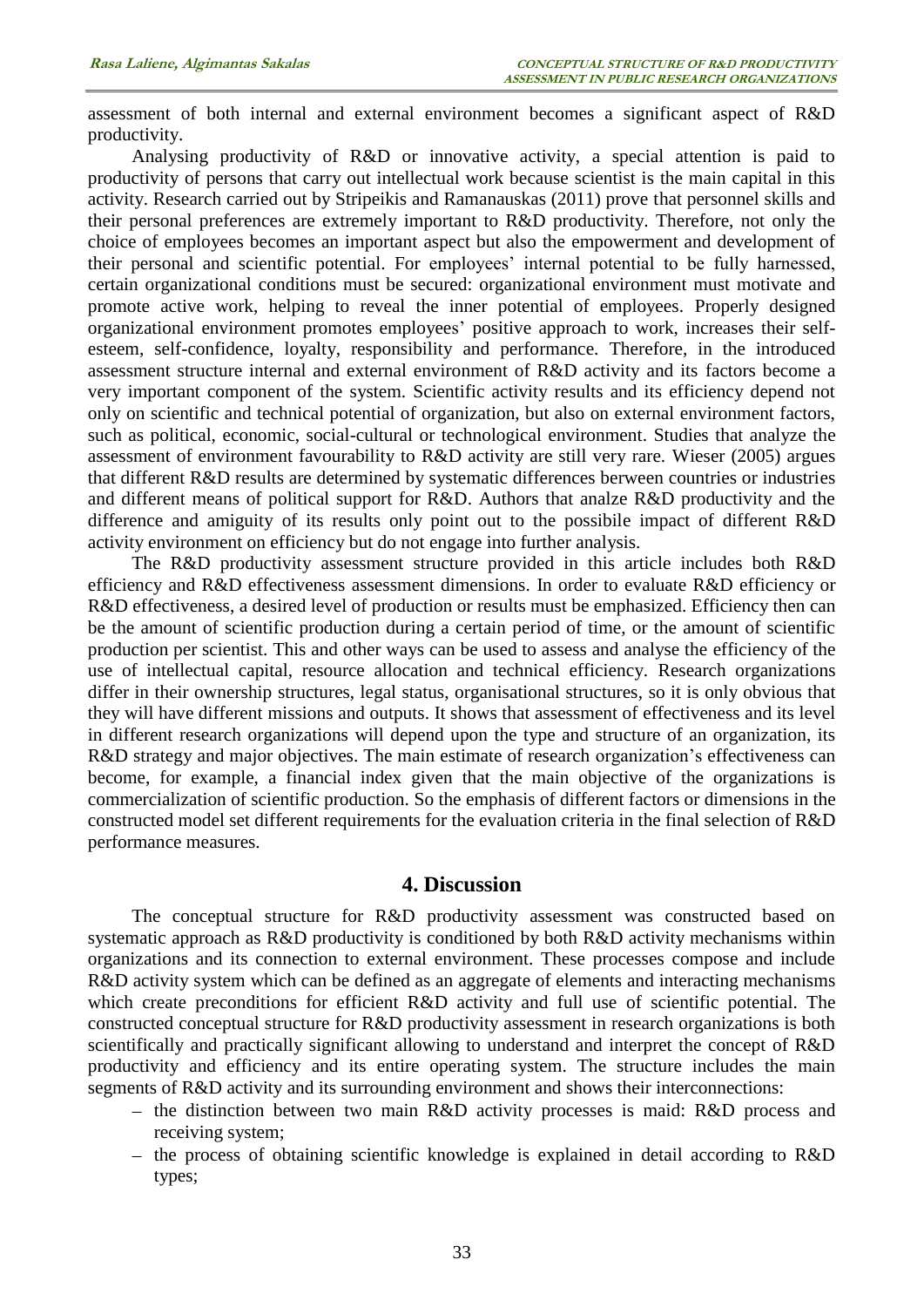assessment of both internal and external environment becomes a significant aspect of R&D productivity.

Analysing productivity of R&D or innovative activity, a special attention is paid to productivity of persons that carry out intellectual work because scientist is the main capital in this activity. Research carried out by Stripeikis and Ramanauskas (2011) prove that personnel skills and their personal preferences are extremely important to R&D productivity. Therefore, not only the choice of employees becomes an important aspect but also the empowerment and development of their personal and scientific potential. For employees' internal potential to be fully harnessed, certain organizational conditions must be secured: organizational environment must motivate and promote active work, helping to reveal the inner potential of employees. Properly designed organizational environment promotes employees' positive approach to work, increases their selfesteem, self-confidence, loyalty, responsibility and performance. Therefore, in the introduced assessment structure internal and external environment of R&D activity and its factors become a very important component of the system. Scientific activity results and its efficiency depend not only on scientific and technical potential of organization, but also on external environment factors, such as political, economic, social-cultural or technological environment. Studies that analyze the assessment of environment favourability to R&D activity are still very rare. Wieser (2005) argues that different R&D results are determined by systematic differences berween countries or industries and different means of political support for R&D. Authors that analze R&D productivity and the difference and amiguity of its results only point out to the possibile impact of different R&D activity environment on efficiency but do not engage into further analysis.

The R&D productivity assessment structure provided in this article includes both R&D efficiency and R&D effectiveness assessment dimensions. In order to evaluate R&D efficiency or R&D effectiveness, a desired level of production or results must be emphasized. Efficiency then can be the amount of scientific production during a certain period of time, or the amount of scientific production per scientist. This and other ways can be used to assess and analyse the efficiency of the use of intellectual capital, resource allocation and technical efficiency. Research organizations differ in their ownership structures, legal status, organisational structures, so it is only obvious that they will have different missions and outputs. It shows that assessment of effectiveness and its level in different research organizations will depend upon the type and structure of an organization, its R&D strategy and major objectives. The main estimate of research organization's effectiveness can become, for example, a financial index given that the main objective of the organizations is commercialization of scientific production. So the emphasis of different factors or dimensions in the constructed model set different requirements for the evaluation criteria in the final selection of R&D performance measures.

#### **4. Discussion**

The conceptual structure for R&D productivity assessment was constructed based on systematic approach as R&D productivity is conditioned by both R&D activity mechanisms within organizations and its connection to external environment. These processes compose and include R&D activity system which can be defined as an aggregate of elements and interacting mechanisms which create preconditions for efficient R&D activity and full use of scientific potential. The constructed conceptual structure for R&D productivity assessment in research organizations is both scientifically and practically significant allowing to understand and interpret the concept of R&D productivity and efficiency and its entire operating system. The structure includes the main segments of R&D activity and its surrounding environment and shows their interconnections:

- the distinction between two main R&D activity processes is maid: R&D process and receiving system;
- $-$  the process of obtaining scientific knowledge is explained in detail according to R&D types;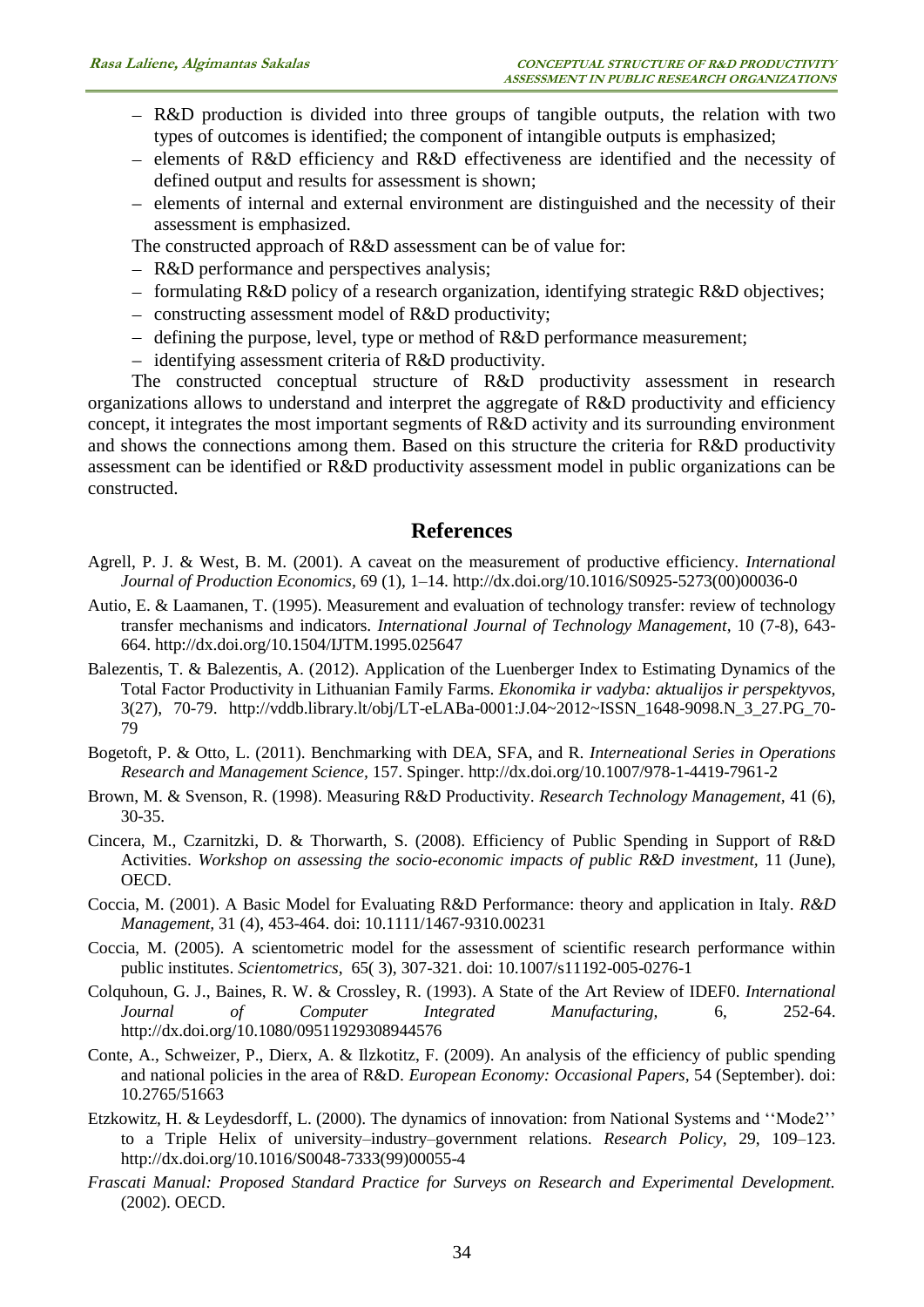- R&D production is divided into three groups of tangible outputs, the relation with two types of outcomes is identified; the component of intangible outputs is emphasized;
- elements of R&D efficiency and R&D effectiveness are identified and the necessity of defined output and results for assessment is shown;
- elements of internal and external environment are distinguished and the necessity of their assessment is emphasized.

The constructed approach of R&D assessment can be of value for:

- R&D performance and perspectives analysis;
- $f$  formulating R&D policy of a research organization, identifying strategic R&D objectives;
- $\overline{\phantom{a}}$  constructing assessment model of R&D productivity;
- $-$  defining the purpose, level, type or method of R&D performance measurement;
- $-$  identifying assessment criteria of R&D productivity.

The constructed conceptual structure of R&D productivity assessment in research organizations allows to understand and interpret the aggregate of R&D productivity and efficiency concept, it integrates the most important segments of R&D activity and its surrounding environment and shows the connections among them. Based on this structure the criteria for R&D productivity assessment can be identified or R&D productivity assessment model in public organizations can be constructed.

# **References**

- Agrell, P. J. & West, B. M. (2001). A caveat on the measurement of productive efficiency. *[International](http://www.sciencedirect.com/science/journal/09255273)  [Journal of Production Economics,](http://www.sciencedirect.com/science/journal/09255273)* [69 \(1\)](http://www.sciencedirect.com/science/journal/09255273/69/1)*,* 1–14. [http://dx.doi.org/10.1016/S0925-5273\(00\)00036-0](http://dx.doi.org/10.1016/S0925-5273%2800%2900036-0)
- Autio, E. & Laamanen, T. (1995). Measurement and evaluation of technology transfer: review of technology transfer mechanisms and indicators*. [International Journal of Technology Management,](http://www.ingentaconnect.com/content/ind/ijtm;jsessionid=ed6mp0g7qwkf.victoria)* 10 (7-8), 643- 664.<http://dx.doi.org/10.1504/IJTM.1995.025647>
- Balezentis, T. & Balezentis, A. (2012). Application of the Luenberger Index to Estimating Dynamics of the Total Factor Productivity in Lithuanian Family Farms. *Ekonomika ir vadyba: aktualijos ir perspektyvos,*  3(27), 70-79. [http://vddb.library.lt/obj/LT-eLABa-0001:J.04~2012~ISSN\\_1648-9098.N\\_3\\_27.PG\\_70-](http://vddb.library.lt/obj/LT-eLABa-0001:J.04~2012~ISSN_1648-9098.N_3_27.PG_70-79) [79](http://vddb.library.lt/obj/LT-eLABa-0001:J.04~2012~ISSN_1648-9098.N_3_27.PG_70-79)
- Bogetoft, P. & Otto, L. (2011). Benchmarking with DEA, SFA, and R. *Interneational Series in Operations Research and Management Science,* 157. Spinger. <http://dx.doi.org/10.1007/978-1-4419-7961-2>
- Brown, M. & Svenson, R. (1998). Measuring R&D Productivity. *Research Technology Management,* 41 (6), 30-35.
- Cincera, M., Czarnitzki, D. & Thorwarth, S. (2008). Efficiency of Public Spending in Support of R&D Activities. *Workshop on assessing the socio-economic impacts of public R&D investment,* 11 (June), OECD.
- Coccia, M. (2001). A Basic Model for Evaluating R&D Performance: theory and application in Italy. *R&D Management,* 31 (4), 453-464. doi: 10.1111/1467-9310.00231
- Coccia, M. (2005). A scientometric model for the assessment of scientific research performance within public institutes. *Scientometrics*, 65( 3), 307-321. doi: 10.1007/s11192-005-0276-1
- Colquhoun, G. J., Baines, R. W. & Crossley, R. (1993). A State of the Art Review of IDEF0. *International Journal of Computer Integrated Manufacturing,* 6, 252-64. <http://dx.doi.org/10.1080/09511929308944576>
- Conte, A., Schweizer, P., Dierx, A. & Ilzkotitz, F. (2009). An analysis of the efficiency of public spending and national policies in the area of R&D. *European Economy: Occasional Papers,* 54 (September). doi: 10.2765/51663
- Etzkowitz, H. & Leydesdorff, L. (2000). The dynamics of innovation: from National Systems and ''Mode2'' to a Triple Helix of university–industry–government relations. *Research Policy,* 29, 109–123. [http://dx.doi.org/10.1016/S0048-7333\(99\)00055-4](http://dx.doi.org/10.1016/S0048-7333%2899%2900055-4)
- *Frascati Manual: Proposed Standard Practice for Surveys on Research and Experimental Development.* (2002). OECD.